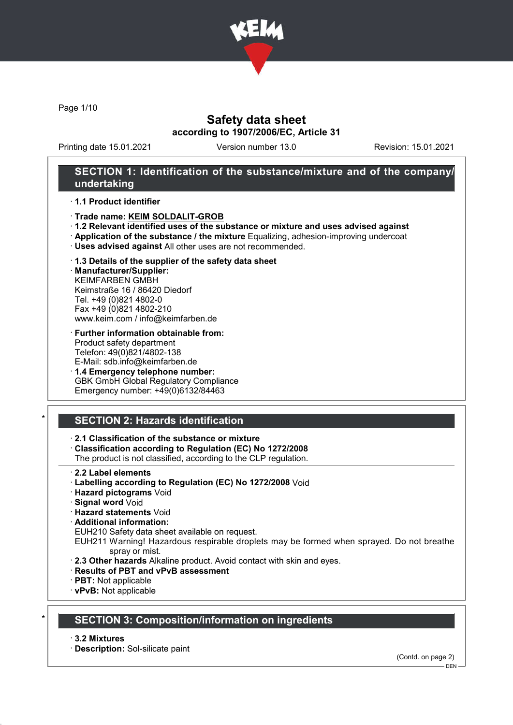

Page 1/10

# Safety data sheet according to 1907/2006/EC, Article 31

Printing date 15.01.2021 Version number 13.0 Revision: 15.01.2021

## SECTION 1: Identification of the substance/mixture and of the company/ undertaking

### · 1.1 Product identifier

- · Trade name: KEIM SOLDALIT-GROB
- · 1.2 Relevant identified uses of the substance or mixture and uses advised against
- · Application of the substance / the mixture Equalizing, adhesion-improving undercoat
- · Uses advised against All other uses are not recommended.

### · 1.3 Details of the supplier of the safety data sheet

· Manufacturer/Supplier: KEIMFARBEN GMBH Keimstraße 16 / 86420 Diedorf Tel. +49 (0)821 4802-0 Fax +49 (0)821 4802-210 www.keim.com / info@keimfarben.de

- · Further information obtainable from: Product safety department Telefon: 49(0)821/4802-138 E-Mail: sdb.info@keimfarben.de
- · 1.4 Emergency telephone number: GBK GmbH Global Regulatory Compliance Emergency number: +49(0)6132/84463

# **SECTION 2: Hazards identification**

## · 2.1 Classification of the substance or mixture

· Classification according to Regulation (EC) No 1272/2008

The product is not classified, according to the CLP regulation.

- 2.2 Label elements
- · Labelling according to Regulation (EC) No 1272/2008 Void
- · Hazard pictograms Void
- · Signal word Void
- · Hazard statements Void
- · Additional information:

EUH210 Safety data sheet available on request.

EUH211 Warning! Hazardous respirable droplets may be formed when sprayed. Do not breathe spray or mist.

- · 2.3 Other hazards Alkaline product. Avoid contact with skin and eyes.
- · Results of PBT and vPvB assessment
- · PBT: Not applicable
- · vPvB: Not applicable

# **SECTION 3: Composition/information on ingredients**

### · 3.2 Mixtures

· Description: Sol-silicate paint

(Contd. on page 2)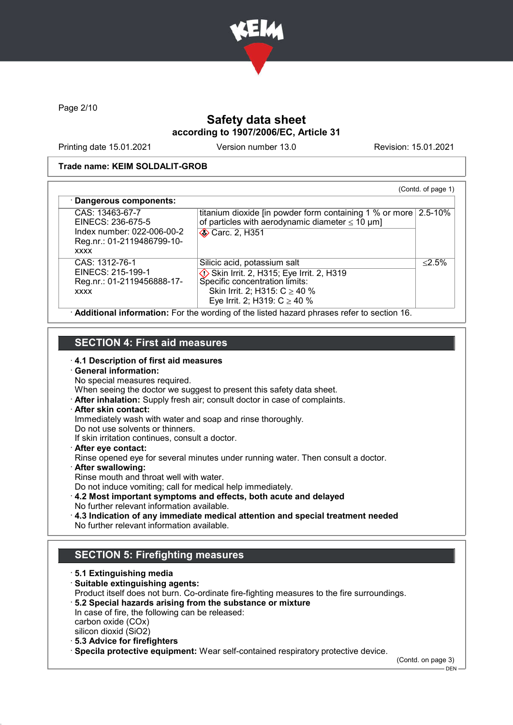

Page 2/10

# Safety data sheet according to 1907/2006/EC, Article 31

Printing date 15.01.2021 Version number 13.0 Revision: 15.01.2021

### Trade name: KEIM SOLDALIT-GROB

| CAS: 13463-67-7<br>EINECS: 236-675-5<br>Index number: 022-006-00-2<br>Reg.nr.: 01-2119486799-10- | titanium dioxide [in powder form containing 1 % or more $\sqrt{2.5-10\%}$<br>of particles with aerodynamic diameter $\leq 10 \mu m$ ]<br><b>◆ Carc. 2, H351</b>                    |           |
|--------------------------------------------------------------------------------------------------|------------------------------------------------------------------------------------------------------------------------------------------------------------------------------------|-----------|
| <b>XXXX</b><br>CAS: 1312-76-1<br>EINECS: 215-199-1<br>Reg.nr.: 01-2119456888-17-<br><b>XXXX</b>  | Silicic acid, potassium salt<br>Skin Irrit. 2, H315; Eye Irrit. 2, H319<br>Specific concentration limits:<br>Skin Irrit. 2; H315: $C \ge 40$ %<br>Eye Irrit. 2; H319: $C \ge 40$ % | $< 2.5\%$ |

## SECTION 4: First aid measures

· 4.1 Description of first aid measures

# · General information:

No special measures required.

When seeing the doctor we suggest to present this safety data sheet.

· After inhalation: Supply fresh air; consult doctor in case of complaints.

## · After skin contact:

Immediately wash with water and soap and rinse thoroughly.

Do not use solvents or thinners.

If skin irritation continues, consult a doctor.

· After eye contact:

Rinse opened eye for several minutes under running water. Then consult a doctor.

- · After swallowing:
- Rinse mouth and throat well with water.

Do not induce vomiting; call for medical help immediately.

- · 4.2 Most important symptoms and effects, both acute and delayed No further relevant information available.
- · 4.3 Indication of any immediate medical attention and special treatment needed No further relevant information available.

# SECTION 5: Firefighting measures

· 5.1 Extinguishing media · Suitable extinguishing agents: Product itself does not burn. Co-ordinate fire-fighting measures to the fire surroundings. · 5.2 Special hazards arising from the substance or mixture In case of fire, the following can be released: carbon oxide (COx) silicon dioxid (SiO2) · 5.3 Advice for firefighters

· Specila protective equipment: Wear self-contained respiratory protective device.

(Contd. on page 3)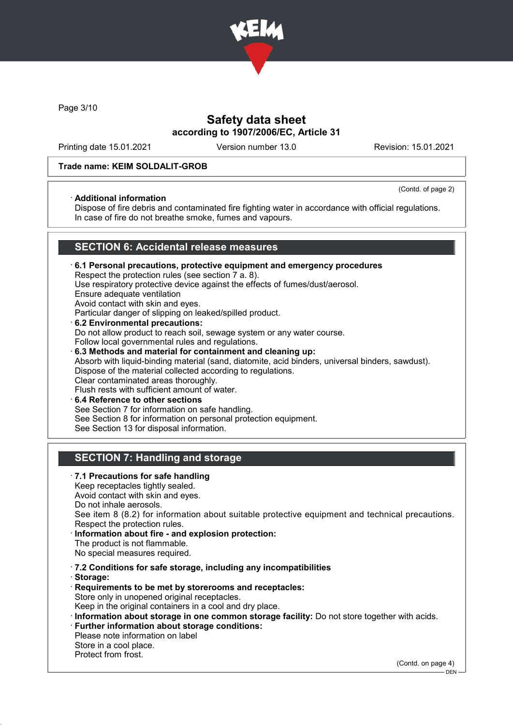

Page 3/10

## Safety data sheet according to 1907/2006/EC, Article 31

Printing date 15.01.2021 Version number 13.0 Revision: 15.01.2021

### Trade name: KEIM SOLDALIT-GROB

### · Additional information

(Contd. of page 2)

Dispose of fire debris and contaminated fire fighting water in accordance with official regulations. In case of fire do not breathe smoke, fumes and vapours.

## SECTION 6: Accidental release measures

- · 6.1 Personal precautions, protective equipment and emergency procedures Respect the protection rules (see section 7 a. 8). Use respiratory protective device against the effects of fumes/dust/aerosol. Ensure adequate ventilation Avoid contact with skin and eyes. Particular danger of slipping on leaked/spilled product. · 6.2 Environmental precautions: Do not allow product to reach soil, sewage system or any water course. Follow local governmental rules and regulations. · 6.3 Methods and material for containment and cleaning up: Absorb with liquid-binding material (sand, diatomite, acid binders, universal binders, sawdust). Dispose of the material collected according to regulations. Clear contaminated areas thoroughly. Flush rests with sufficient amount of water.
- 6.4 Reference to other sections See Section 7 for information on safe handling. See Section 8 for information on personal protection equipment. See Section 13 for disposal information.

# SECTION 7: Handling and storage

· 7.1 Precautions for safe handling Keep receptacles tightly sealed. Avoid contact with skin and eyes. Do not inhale aerosols. See item 8 (8.2) for information about suitable protective equipment and technical precautions. Respect the protection rules. Information about fire - and explosion protection: The product is not flammable. No special measures required. · 7.2 Conditions for safe storage, including any incompatibilities · Storage: · Requirements to be met by storerooms and receptacles: Store only in unopened original receptacles. Keep in the original containers in a cool and dry place. · Information about storage in one common storage facility: Do not store together with acids. · Further information about storage conditions: Please note information on label Store in a cool place. Protect from frost.

(Contd. on page 4)

<sup>–</sup> DEN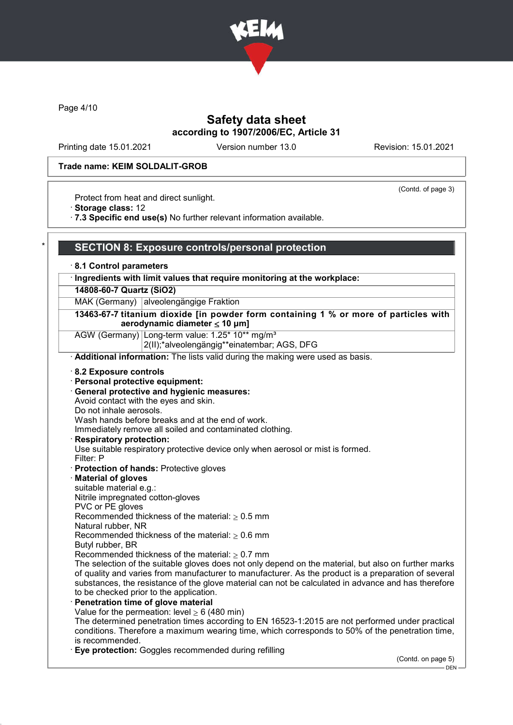

Page 4/10

## Safety data sheet according to 1907/2006/EC, Article 31

Printing date 15.01.2021 Version number 13.0 Revision: 15.01.2021

(Contd. of page 3)

### Trade name: KEIM SOLDALIT-GROB

Protect from heat and direct sunlight.

· Storage class: 12

· 7.3 Specific end use(s) No further relevant information available.

## SECTION 8: Exposure controls/personal protection

· 8.1 Control parameters

### Ingredients with limit values that require monitoring at the workplace:

### 14808-60-7 Quartz (SiO2)

MAK (Germany) alveolengängige Fraktion

13463-67-7 titanium dioxide [in powder form containing 1 % or more of particles with aerodynamic diameter ≤ 10 μm]

AGW (Germany) Long-term value: 1.25\* 10\*\* mg/m<sup>3</sup>

2(II);\*alveolengängig\*\*einatembar; AGS, DFG

· Additional information: The lists valid during the making were used as basis.

- · 8.2 Exposure controls
- · Personal protective equipment:
- · General protective and hygienic measures:
- Avoid contact with the eyes and skin.
- Do not inhale aerosols.

Wash hands before breaks and at the end of work.

Immediately remove all soiled and contaminated clothing.

Respiratory protection:

Use suitable respiratory protective device only when aerosol or mist is formed.

- Filter: P
- · Protection of hands: Protective gloves
- · Material of gloves
- suitable material e.g.:
- Nitrile impregnated cotton-gloves
- PVC or PE gloves

Recommended thickness of the material:  $\geq 0.5$  mm

Natural rubber, NR

Recommended thickness of the material:  $> 0.6$  mm

- Butyl rubber, BR
- Recommended thickness of the material:  $\geq 0.7$  mm

The selection of the suitable gloves does not only depend on the material, but also on further marks of quality and varies from manufacturer to manufacturer. As the product is a preparation of several substances, the resistance of the glove material can not be calculated in advance and has therefore to be checked prior to the application.

Penetration time of glove material Value for the permeation: level  $> 6$  (480 min)

The determined penetration times according to EN 16523-1:2015 are not performed under practical conditions. Therefore a maximum wearing time, which corresponds to 50% of the penetration time, is recommended.

Eye protection: Goggles recommended during refilling

(Contd. on page 5)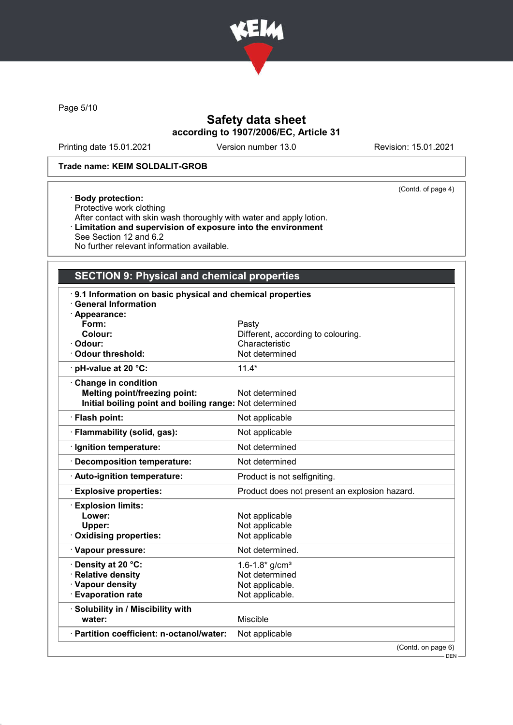

Page 5/10

# Safety data sheet according to 1907/2006/EC, Article 31

Printing date 15.01.2021 Version number 13.0 Revision: 15.01.2021

(Contd. of page 4)

## Trade name: KEIM SOLDALIT-GROB

### · Body protection:

Protective work clothing After contact with skin wash thoroughly with water and apply lotion. · Limitation and supervision of exposure into the environment See Section 12 and 6.2 No further relevant information available.

# SECTION 9: Physical and chemical properties

| 9.1 Information on basic physical and chemical properties<br><b>General Information</b> |                                               |  |
|-----------------------------------------------------------------------------------------|-----------------------------------------------|--|
| · Appearance:                                                                           |                                               |  |
| Form:                                                                                   | Pasty                                         |  |
| Colour:                                                                                 | Different, according to colouring.            |  |
| · Odour:                                                                                | Characteristic                                |  |
| · Odour threshold:                                                                      | Not determined                                |  |
| · pH-value at 20 °C:                                                                    | $11.4*$                                       |  |
| Change in condition                                                                     |                                               |  |
| <b>Melting point/freezing point:</b>                                                    | Not determined                                |  |
| Initial boiling point and boiling range: Not determined                                 |                                               |  |
| · Flash point:                                                                          | Not applicable                                |  |
| Flammability (solid, gas):                                                              | Not applicable                                |  |
| Ignition temperature:                                                                   | Not determined                                |  |
| <b>Decomposition temperature:</b>                                                       | Not determined                                |  |
| Auto-ignition temperature:                                                              | Product is not selfigniting.                  |  |
| <b>Explosive properties:</b>                                                            | Product does not present an explosion hazard. |  |
| <b>Explosion limits:</b>                                                                |                                               |  |
| Lower:                                                                                  | Not applicable                                |  |
| Upper:                                                                                  | Not applicable                                |  |
| <b>Oxidising properties:</b>                                                            | Not applicable                                |  |
| · Vapour pressure:                                                                      | Not determined.                               |  |
| · Density at 20 °C:                                                                     | $1.6 - 1.8*$ g/cm <sup>3</sup>                |  |
| · Relative density                                                                      | Not determined                                |  |
| · Vapour density                                                                        | Not applicable.                               |  |
| <b>Evaporation rate</b>                                                                 | Not applicable.                               |  |
| · Solubility in / Miscibility with                                                      |                                               |  |
| water:                                                                                  | <b>Miscible</b>                               |  |
| · Partition coefficient: n-octanol/water:                                               | Not applicable                                |  |
|                                                                                         | (Contd. on page 6)                            |  |
|                                                                                         | $-$ DEN -                                     |  |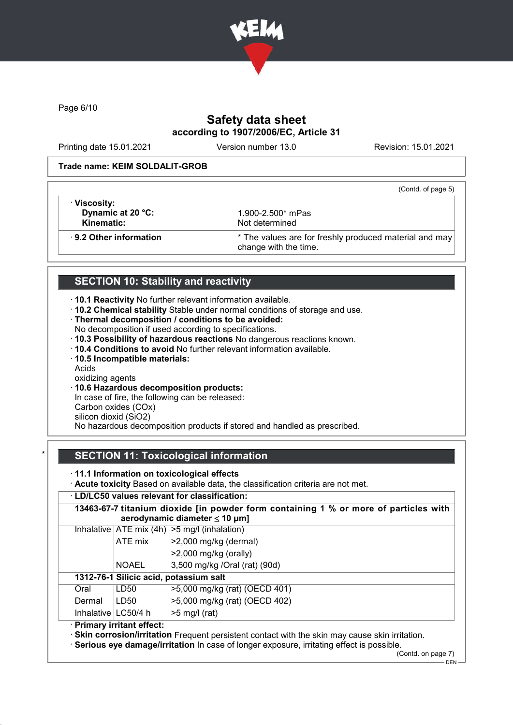

Page 6/10

# Safety data sheet according to 1907/2006/EC, Article 31

Printing date 15.01.2021 Version number 13.0 Revision: 15.01.2021

(Contd. of page 5)

### Trade name: KEIM SOLDALIT-GROB

· Viscosity: **Dynamic at 20 °C:** 1.900-2.500<sup>\*</sup> mPas<br> **Kinematic:** Not determined

Not determined

· 9.2 Other information \* The values are for freshly produced material and may change with the time.

# SECTION 10: Stability and reactivity

· 10.1 Reactivity No further relevant information available.

- · 10.2 Chemical stability Stable under normal conditions of storage and use.
- · Thermal decomposition / conditions to be avoided:
- No decomposition if used according to specifications.
- · 10.3 Possibility of hazardous reactions No dangerous reactions known.
- · 10.4 Conditions to avoid No further relevant information available.
- · 10.5 Incompatible materials:
- Acids
- oxidizing agents
- · 10.6 Hazardous decomposition products:

In case of fire, the following can be released:

Carbon oxides (COx)

silicon dioxid (SiO2)

No hazardous decomposition products if stored and handled as prescribed.

# SECTION 11: Toxicological information

· 11.1 Information on toxicological effects

· Acute toxicity Based on available data, the classification criteria are not met.

## · LD/LC50 values relevant for classification:

|        |                            | Inhalative $ ATE \text{ mix } (4h)   > 5 \text{ mg/l } (inhalation)$ |
|--------|----------------------------|----------------------------------------------------------------------|
|        | ATE mix                    | >2,000 mg/kg (dermal)                                                |
|        |                            | $>2,000$ mg/kg (orally)                                              |
|        | <b>NOAEL</b>               | 3,500 mg/kg /Oral (rat) (90d)                                        |
|        |                            | 1312-76-1 Silicic acid, potassium salt                               |
| Oral   | LD50                       | >5,000 mg/kg (rat) (OECD 401)                                        |
| Dermal | LD50                       | >5,000 mg/kg (rat) (OECD 402)                                        |
|        | Inhalative   LC50/4 h      | $>5$ mg/l (rat)                                                      |
|        | · Primary irritant effect: |                                                                      |

(Contd. on page 7)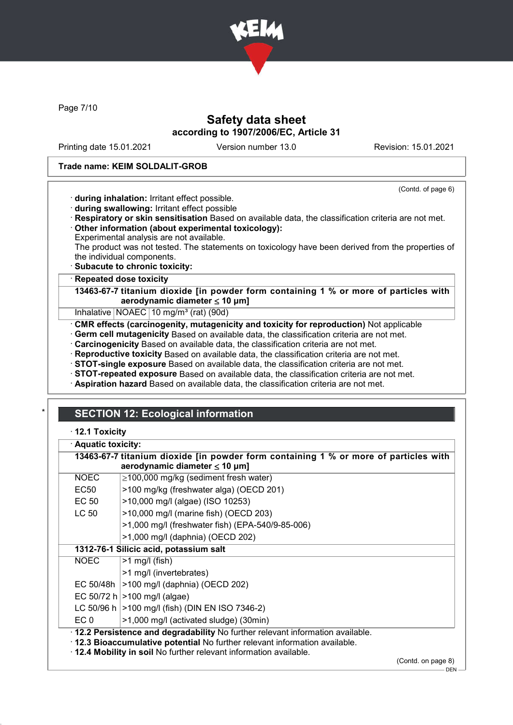

Page 7/10

## Safety data sheet according to 1907/2006/EC, Article 31

Printing date 15.01.2021 Version number 13.0 Revision: 15.01.2021

(Contd. of page 6)

### Trade name: KEIM SOLDALIT-GROB

· during inhalation: Irritant effect possible.

- · during swallowing: Irritant effect possible
- · Respiratory or skin sensitisation Based on available data, the classification criteria are not met. · Other information (about experimental toxicology):
- Experimental analysis are not available.

The product was not tested. The statements on toxicology have been derived from the properties of the individual components.

· Subacute to chronic toxicity:

**Repeated dose toxicity** 

13463-67-7 titanium dioxide [in powder form containing 1 % or more of particles with aerodynamic diameter  $\leq 10 \mu m$ ]

Inhalative NOAEC 10 mg/m<sup>3</sup> (rat) (90d)

· CMR effects (carcinogenity, mutagenicity and toxicity for reproduction) Not applicable

· Germ cell mutagenicity Based on available data, the classification criteria are not met.

· Carcinogenicity Based on available data, the classification criteria are not met.

· Reproductive toxicity Based on available data, the classification criteria are not met.

· STOT-single exposure Based on available data, the classification criteria are not met.

· STOT-repeated exposure Based on available data, the classification criteria are not met.

· Aspiration hazard Based on available data, the classification criteria are not met.

# **SECTION 12: Ecological information**

### · 12.1 Toxicity

| · Aquatic toxicity:                                                                  |                                                                                                                                                                                                                                                              |  |
|--------------------------------------------------------------------------------------|--------------------------------------------------------------------------------------------------------------------------------------------------------------------------------------------------------------------------------------------------------------|--|
| 13463-67-7 titanium dioxide [in powder form containing 1 % or more of particles with |                                                                                                                                                                                                                                                              |  |
|                                                                                      | aerodynamic diameter $\leq 10$ µm]                                                                                                                                                                                                                           |  |
| NOEC                                                                                 | $\geq$ 100,000 mg/kg (sediment fresh water)                                                                                                                                                                                                                  |  |
| EC <sub>50</sub>                                                                     | >100 mg/kg (freshwater alga) (OECD 201)                                                                                                                                                                                                                      |  |
| EC 50                                                                                | >10,000 mg/l (algae) (ISO 10253)                                                                                                                                                                                                                             |  |
| <b>LC 50</b>                                                                         | >10,000 mg/l (marine fish) (OECD 203)                                                                                                                                                                                                                        |  |
|                                                                                      | >1,000 mg/l (freshwater fish) (EPA-540/9-85-006)                                                                                                                                                                                                             |  |
|                                                                                      | >1,000 mg/l (daphnia) (OECD 202)                                                                                                                                                                                                                             |  |
|                                                                                      | 1312-76-1 Silicic acid, potassium salt                                                                                                                                                                                                                       |  |
| NOEC                                                                                 | $>1$ mg/l (fish)                                                                                                                                                                                                                                             |  |
|                                                                                      | >1 mg/l (invertebrates)                                                                                                                                                                                                                                      |  |
| EC 50/48h $\vert$                                                                    | >100 mg/l (daphnia) (OECD 202)                                                                                                                                                                                                                               |  |
|                                                                                      | EC 50/72 h $ >100$ mg/l (algae)                                                                                                                                                                                                                              |  |
|                                                                                      | LC 50/96 h   > 100 mg/l (fish) (DIN EN ISO 7346-2)                                                                                                                                                                                                           |  |
| EC 0                                                                                 | >1,000 mg/l (activated sludge) (30min)                                                                                                                                                                                                                       |  |
|                                                                                      | . 12.2 Persistence and degradability No further relevant information available.<br>. 12.3 Bioaccumulative potential No further relevant information available.<br>12.4 Mobility in soil No further relevant information available.<br>$(0.0001)$ and $0.000$ |  |

(Contd. on page 8)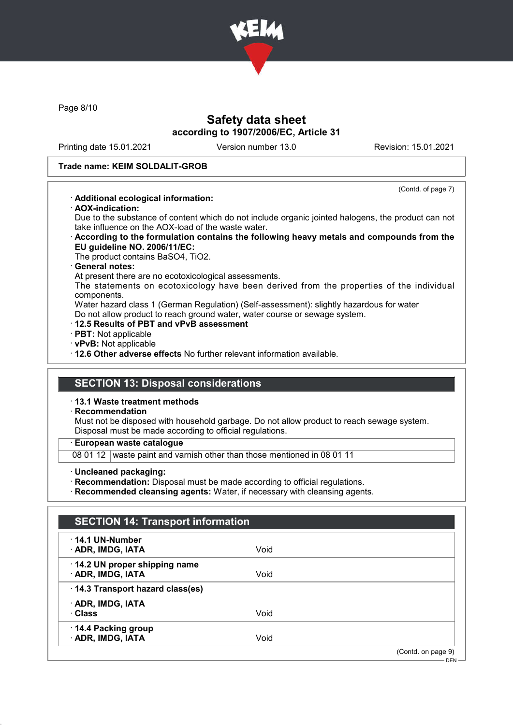

Page 8/10

## Safety data sheet according to 1907/2006/EC, Article 31

Printing date 15.01.2021 Version number 13.0 Revision: 15.01.2021

(Contd. of page 7)

### Trade name: KEIM SOLDALIT-GROB

### · Additional ecological information:

· AOX-indication:

Due to the substance of content which do not include organic jointed halogens, the product can not take influence on the AOX-load of the waste water.

· According to the formulation contains the following heavy metals and compounds from the EU guideline NO. 2006/11/EC:

The product contains BaSO4, TiO2.

### · General notes:

At present there are no ecotoxicological assessments.

The statements on ecotoxicology have been derived from the properties of the individual components.

Water hazard class 1 (German Regulation) (Self-assessment): slightly hazardous for water Do not allow product to reach ground water, water course or sewage system.

- · 12.5 Results of PBT and vPvB assessment
- · PBT: Not applicable
- · vPvB: Not applicable

· 12.6 Other adverse effects No further relevant information available.

## SECTION 13: Disposal considerations

· 13.1 Waste treatment methods

### · Recommendation

Must not be disposed with household garbage. Do not allow product to reach sewage system. Disposal must be made according to official regulations.

· European waste catalogue

08 01 12 waste paint and varnish other than those mentioned in 08 01 11

· Uncleaned packaging:

· Recommendation: Disposal must be made according to official regulations.

· Recommended cleansing agents: Water, if necessary with cleansing agents.

| $\cdot$ 14.1 UN-Number          |      |                    |
|---------------------------------|------|--------------------|
| <b>ADR, IMDG, IATA</b>          | Void |                    |
| 14.2 UN proper shipping name    |      |                    |
| · ADR, IMDG, IATA               | Void |                    |
| 14.3 Transport hazard class(es) |      |                    |
| · ADR, IMDG, IATA               |      |                    |
| · Class                         | Void |                    |
| 14.4 Packing group              |      |                    |
| · ADR, IMDG, IATA               | Void |                    |
|                                 |      | (Contd. on page 9) |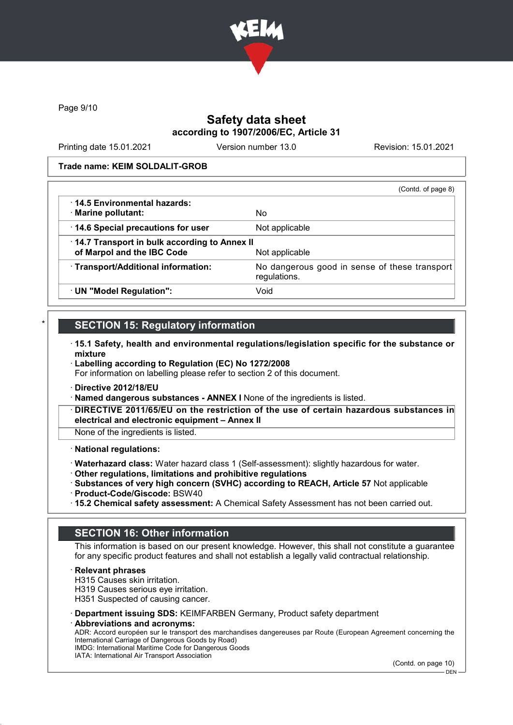

Page 9/10

## Safety data sheet according to 1907/2006/EC, Article 31

Printing date 15.01.2021 Version number 13.0 Revision: 15.01.2021

### Trade name: KEIM SOLDALIT-GROB

|                                              | (Contd. of page 8)                                            |
|----------------------------------------------|---------------------------------------------------------------|
| $\cdot$ 14.5 Environmental hazards:          |                                                               |
| · Marine pollutant:                          | No                                                            |
| 14.6 Special precautions for user            | Not applicable                                                |
| 14.7 Transport in bulk according to Annex II |                                                               |
| of Marpol and the IBC Code                   | Not applicable                                                |
| · Transport/Additional information:          | No dangerous good in sense of these transport<br>regulations. |
| UN "Model Regulation":                       | Void                                                          |

# **SECTION 15: Regulatory information**

- · 15.1 Safety, health and environmental regulations/legislation specific for the substance or mixture
- · Labelling according to Regulation (EC) No 1272/2008 For information on labelling please refer to section 2 of this document.
- · Directive 2012/18/EU
- · Named dangerous substances ANNEX I None of the ingredients is listed.
- DIRECTIVE 2011/65/EU on the restriction of the use of certain hazardous substances in electrical and electronic equipment – Annex II

None of the ingredients is listed.

### · National regulations:

- · Waterhazard class: Water hazard class 1 (Self-assessment): slightly hazardous for water.
- · Other regulations, limitations and prohibitive regulations
- · Substances of very high concern (SVHC) according to REACH, Article 57 Not applicable
- · Product-Code/Giscode: BSW40
- · 15.2 Chemical safety assessment: A Chemical Safety Assessment has not been carried out.

## SECTION 16: Other information

This information is based on our present knowledge. However, this shall not constitute a guarantee for any specific product features and shall not establish a legally valid contractual relationship.

**Relevant phrases** 

H315 Causes skin irritation.

H319 Causes serious eye irritation.

H351 Suspected of causing cancer.

- · Department issuing SDS: KEIMFARBEN Germany, Product safety department
- Abbreviations and acronyms:

ADR: Accord européen sur le transport des marchandises dangereuses par Route (European Agreement concerning the International Carriage of Dangerous Goods by Road) IMDG: International Maritime Code for Dangerous Goods

IATA: International Air Transport Association

(Contd. on page 10)

DEN